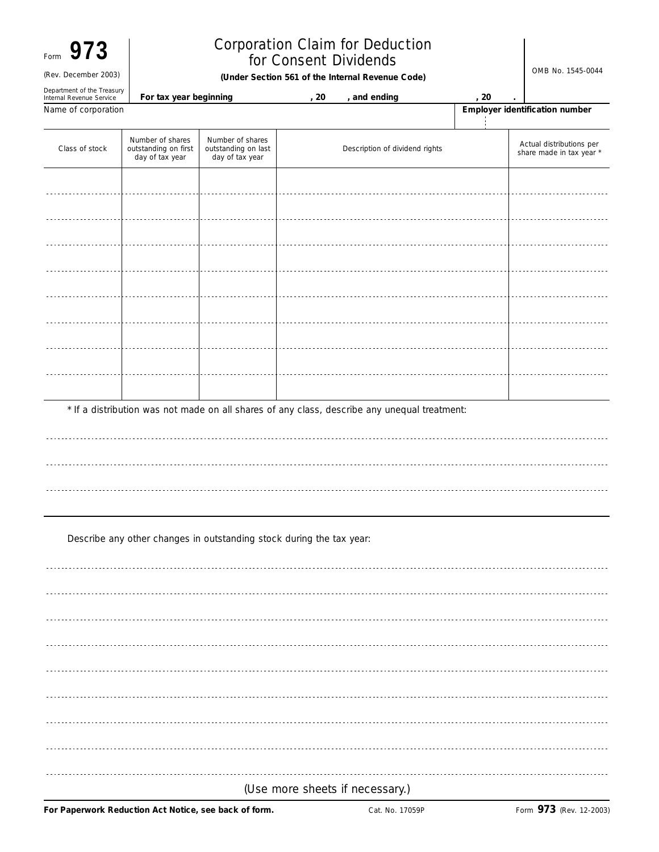| Form |                      |  |
|------|----------------------|--|
|      | (Rev. December 2003) |  |
|      |                      |  |

## **Corporation Claim for Deduction** for Consent Dividends

Rev. December 2003) **CHODER SECTION 561 of the Internal Revenue Code Code CODER 1999** Mo. 1545-0044

| Department of the Treasury<br>Internal Revenue Service | For tax year beginning                                      |                                                            | , 20 | , and ending                                                                                 |  | , 20                           |                                                      |  |  |
|--------------------------------------------------------|-------------------------------------------------------------|------------------------------------------------------------|------|----------------------------------------------------------------------------------------------|--|--------------------------------|------------------------------------------------------|--|--|
| Name of corporation                                    |                                                             |                                                            |      |                                                                                              |  | Employer identification number |                                                      |  |  |
| Class of stock                                         | Number of shares<br>outstanding on first<br>day of tax year | Number of shares<br>outstanding on last<br>day of tax year |      | Description of dividend rights                                                               |  |                                | Actual distributions per<br>share made in tax year * |  |  |
|                                                        |                                                             |                                                            |      |                                                                                              |  |                                |                                                      |  |  |
|                                                        |                                                             |                                                            |      |                                                                                              |  |                                |                                                      |  |  |
|                                                        |                                                             |                                                            |      |                                                                                              |  |                                |                                                      |  |  |
|                                                        |                                                             |                                                            |      |                                                                                              |  |                                |                                                      |  |  |
|                                                        |                                                             |                                                            |      |                                                                                              |  |                                |                                                      |  |  |
|                                                        |                                                             |                                                            |      |                                                                                              |  |                                |                                                      |  |  |
|                                                        |                                                             |                                                            |      |                                                                                              |  |                                |                                                      |  |  |
|                                                        |                                                             |                                                            |      |                                                                                              |  |                                |                                                      |  |  |
|                                                        |                                                             |                                                            |      |                                                                                              |  |                                |                                                      |  |  |
|                                                        |                                                             |                                                            |      | * If a distribution was not made on all shares of any class, describe any unequal treatment: |  |                                |                                                      |  |  |

Describe any other changes in outstanding stock during the tax year:

*(Use more sheets if necessary.)*